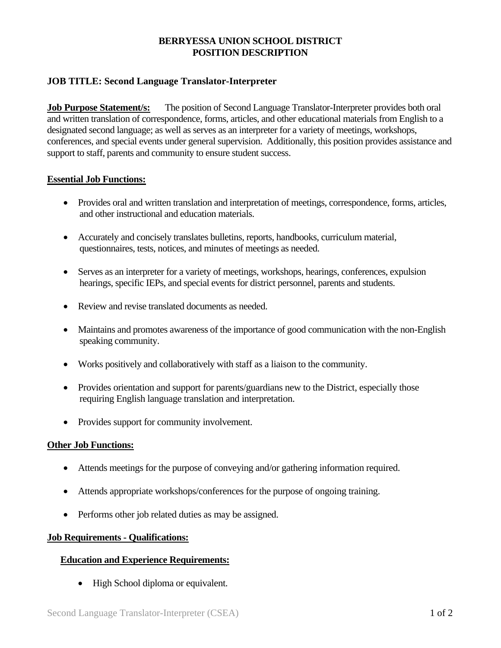# **BERRYESSA UNION SCHOOL DISTRICT POSITION DESCRIPTION**

## **JOB TITLE: Second Language Translator-Interpreter**

**Job Purpose Statement/s:** The position of Second Language Translator-Interpreter provides both oral and written translation of correspondence, forms, articles, and other educational materials from English to a designated second language; as well as serves as an interpreter for a variety of meetings, workshops, conferences, and special events under general supervision. Additionally, this position provides assistance and support to staff, parents and community to ensure student success.

### **Essential Job Functions:**

- Provides oral and written translation and interpretation of meetings, correspondence, forms, articles, and other instructional and education materials.
- Accurately and concisely translates bulletins, reports, handbooks, curriculum material, questionnaires, tests, notices, and minutes of meetings as needed.
- Serves as an interpreter for a variety of meetings, workshops, hearings, conferences, expulsion hearings, specific IEPs, and special events for district personnel, parents and students.
- Review and revise translated documents as needed.
- Maintains and promotes awareness of the importance of good communication with the non-English speaking community.
- Works positively and collaboratively with staff as a liaison to the community.
- Provides orientation and support for parents/guardians new to the District, especially those requiring English language translation and interpretation.
- Provides support for community involvement.

#### **Other Job Functions:**

- Attends meetings for the purpose of conveying and/or gathering information required.
- Attends appropriate workshops/conferences for the purpose of ongoing training.
- Performs other job related duties as may be assigned.

#### **Job Requirements - Qualifications:**

### **Education and Experience Requirements:**

• High School diploma or equivalent.